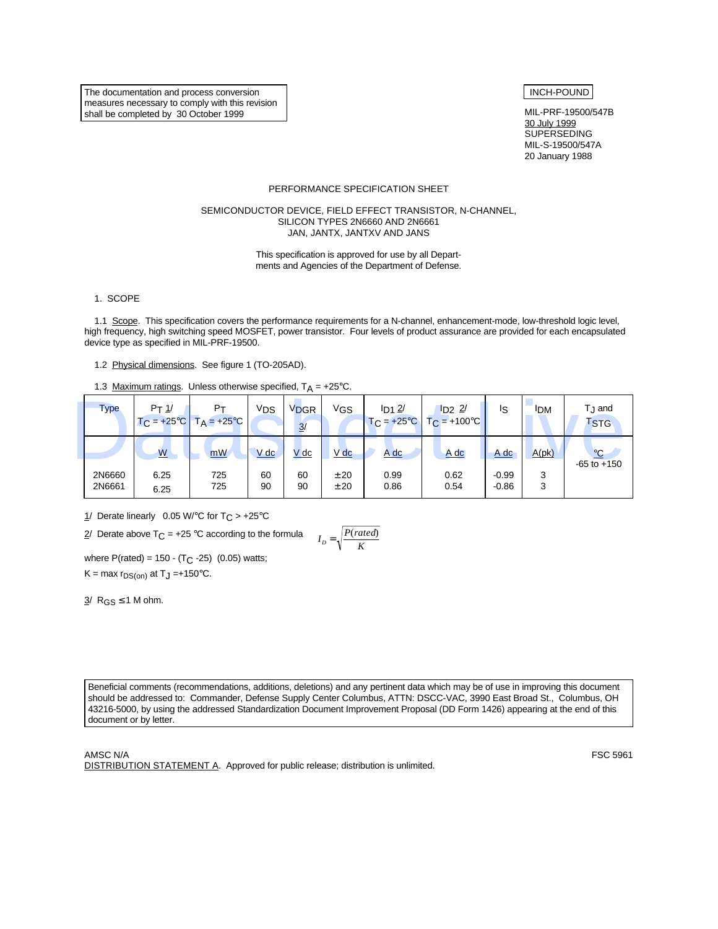The documentation and process conversion measures necessary to comply with this revision shall be completed by 30 October 1999

# INCH-POUND

MIL-PRF-19500/547B 30 July 1999 **SUPERSEDING**  MIL-S-19500/547A 20 January 1988

#### PERFORMANCE SPECIFICATION SHEET

#### SEMICONDUCTOR DEVICE, FIELD EFFECT TRANSISTOR, N-CHANNEL, SILICON TYPES 2N6660 AND 2N6661 JAN, JANTX, JANTXV AND JANS

This specification is approved for use by all Departments and Agencies of the Department of Defense.

1. SCOPE

1.1 Scope. This specification covers the performance requirements for a N-channel, enhancement-mode, low-threshold logic level, high frequency, high switching speed MOSFET, power transistor. Four levels of product assurance are provided for each encapsulated device type as specified in MIL-PRF-19500.

1.2 Physical dimensions. See figure 1 (TO-205AD).

1.3 Maximum ratings. Unless otherwise specified,  $T_A = +25^{\circ}C$ .

| <b>Type</b>      | $Pr_1/$      | $P_T$<br>$T_C = +25^{\circ}C$ $T_A = +25^{\circ}C$ | Vps      | V <sub>DGR</sub><br>3/ | VGS          | $I_{D1}$ $2/$<br>$TC = +25°C$ | $\frac{1}{2}$<br>$T_{\rm C}$ = +100°C | Is                 | <sup>I</sup> DM | Г <sub>.I</sub> and<br><b>TSTG</b> |
|------------------|--------------|----------------------------------------------------|----------|------------------------|--------------|-------------------------------|---------------------------------------|--------------------|-----------------|------------------------------------|
|                  | <u>W</u>     | mW                                                 | $V$ dc   | $V$ dc                 | V dc         | A dc                          | $A$ dc                                | <u>A dc</u>        | A(pk)           | $\frac{1}{2}$<br>$-65$ to $+150$   |
| 2N6660<br>2N6661 | 6.25<br>6.25 | 725<br>725                                         | 60<br>90 | 60<br>90               | ± 20<br>± 20 | 0.99<br>0.86                  | 0.62<br>0.54                          | $-0.99$<br>$-0.86$ | 3<br>3          |                                    |

1/ Derate linearly 0.05 W/°C for  $T_C > +25$ °C

 $2/$  Derate above T<sub>C</sub> = +25 °C according to the formula

$$
I_D = \sqrt{\frac{P(rated)}{K}}
$$

where  $P(\text{rated}) = 150 - (T_C - 25)$  (0.05) watts;

K = max  $r_{DS(on)}$  at T<sub>J</sub> =+150°C.

 $3/$  R<sub>GS</sub>  $\leq$  1 M ohm.

Beneficial comments (recommendations, additions, deletions) and any pertinent data which may be of use in improving this document should be addressed to: Commander, Defense Supply Center Columbus, ATTN: DSCC-VAC, 3990 East Broad St., Columbus, OH 43216-5000, by using the addressed Standardization Document Improvement Proposal (DD Form 1426) appearing at the end of this document or by letter.

AMSC N/A FSC 5961

DISTRIBUTION STATEMENT A. Approved for public release; distribution is unlimited.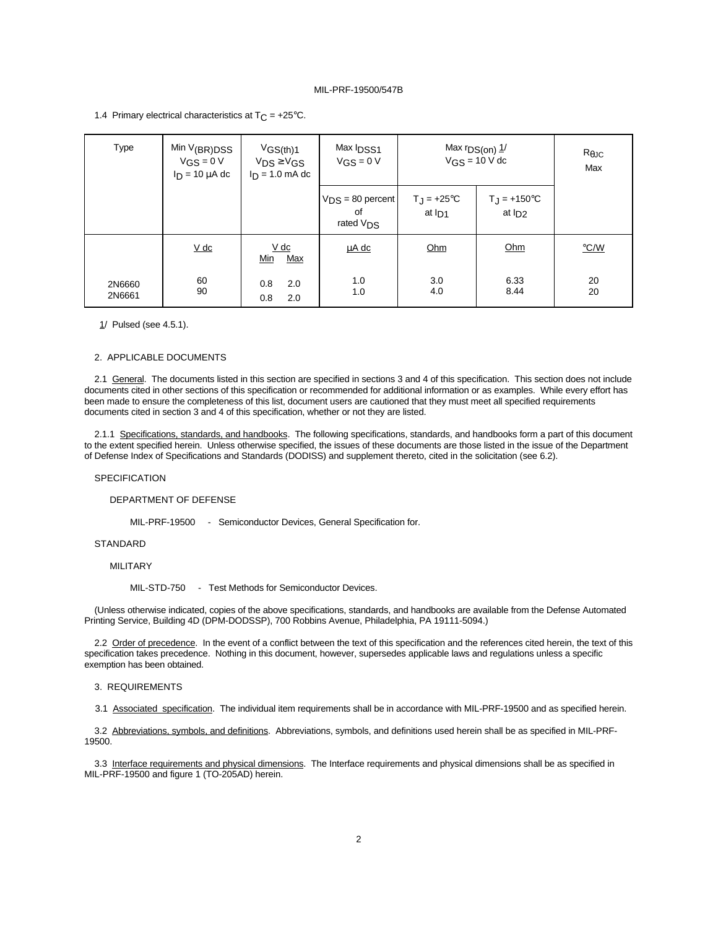1.4 Primary electrical characteristics at  $T_C = +25^{\circ}C$ .

| <b>Type</b>      | Min $V(BR)DSS$<br>$V$ GS = 0 V<br>$I_D = 10 \mu A$ dc | VGS(th)1<br>$V_{DS} \geq V_{GS}$<br>$I_D = 1.0$ mA dc | Max <b>IDSS1</b><br>$V_{GS} = 0 V$                   | Max $rDS(0n)$ $1/$                 | $VGS = 10 V dc$                     | $R_{\theta$ JC<br>Max |
|------------------|-------------------------------------------------------|-------------------------------------------------------|------------------------------------------------------|------------------------------------|-------------------------------------|-----------------------|
|                  |                                                       |                                                       | $V_{DS} = 80$ percent<br>of<br>rated V <sub>DS</sub> | $T_{\rm J}$ = +25°C<br>at $I_{D1}$ | $T_{\rm J}$ = +150°C<br>at $I_{D2}$ |                       |
|                  | $\underline{V}$ dc                                    | V dc<br>Min<br>Max                                    | <u>uA dc</u>                                         | Ohm                                | Ohm                                 | $\degree$ C/W         |
| 2N6660<br>2N6661 | 60<br>90                                              | 0.8<br>2.0<br>0.8<br>2.0                              | 1.0<br>1.0                                           | 3.0<br>4.0                         | 6.33<br>8.44                        | 20<br>20              |

1/ Pulsed (see 4.5.1).

### 2. APPLICABLE DOCUMENTS

2.1 General. The documents listed in this section are specified in sections 3 and 4 of this specification. This section does not include documents cited in other sections of this specification or recommended for additional information or as examples. While every effort has been made to ensure the completeness of this list, document users are cautioned that they must meet all specified requirements documents cited in section 3 and 4 of this specification, whether or not they are listed.

2.1.1 Specifications, standards, and handbooks. The following specifications, standards, and handbooks form a part of this document to the extent specified herein. Unless otherwise specified, the issues of these documents are those listed in the issue of the Department of Defense Index of Specifications and Standards (DODISS) and supplement thereto, cited in the solicitation (see 6.2).

#### **SPECIFICATION**

#### DEPARTMENT OF DEFENSE

MIL-PRF-19500 - Semiconductor Devices, General Specification for.

### **STANDARD**

#### MILITARY

MIL-STD-750 - Test Methods for Semiconductor Devices.

(Unless otherwise indicated, copies of the above specifications, standards, and handbooks are available from the Defense Automated Printing Service, Building 4D (DPM-DODSSP), 700 Robbins Avenue, Philadelphia, PA 19111-5094.)

2.2 Order of precedence. In the event of a conflict between the text of this specification and the references cited herein, the text of this specification takes precedence. Nothing in this document, however, supersedes applicable laws and regulations unless a specific exemption has been obtained.

#### 3. REQUIREMENTS

3.1 Associated specification. The individual item requirements shall be in accordance with MIL-PRF-19500 and as specified herein.

3.2 Abbreviations, symbols, and definitions. Abbreviations, symbols, and definitions used herein shall be as specified in MIL-PRF-19500.

3.3 Interface requirements and physical dimensions. The Interface requirements and physical dimensions shall be as specified in MIL-PRF-19500 and figure 1 (TO-205AD) herein.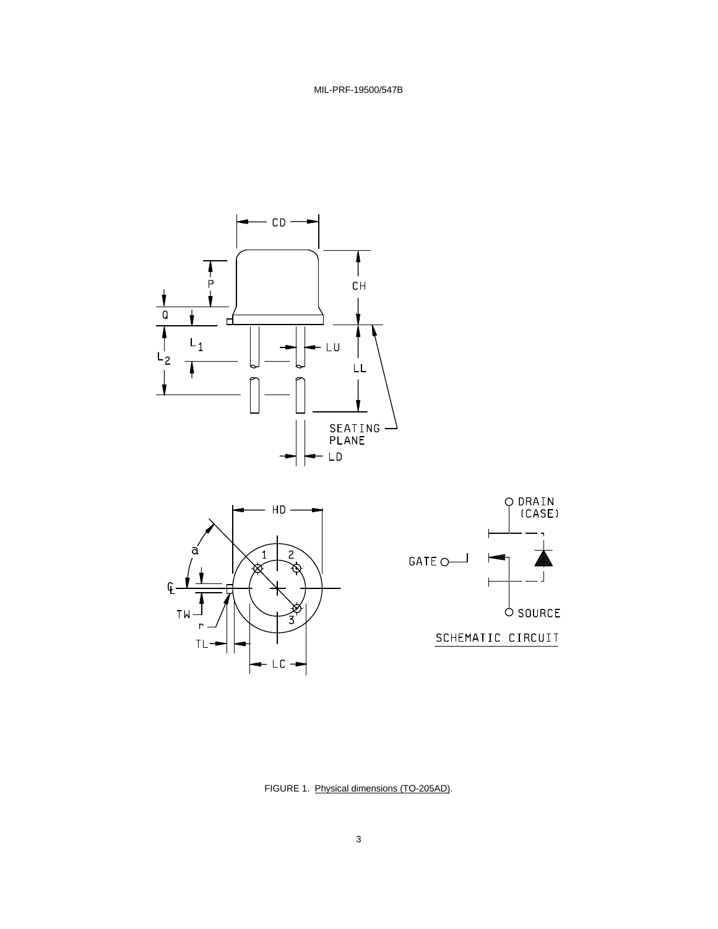



 $\overline{\phantom{a}}$ 

FIGURE 1. Physical dimensions (TO-205AD).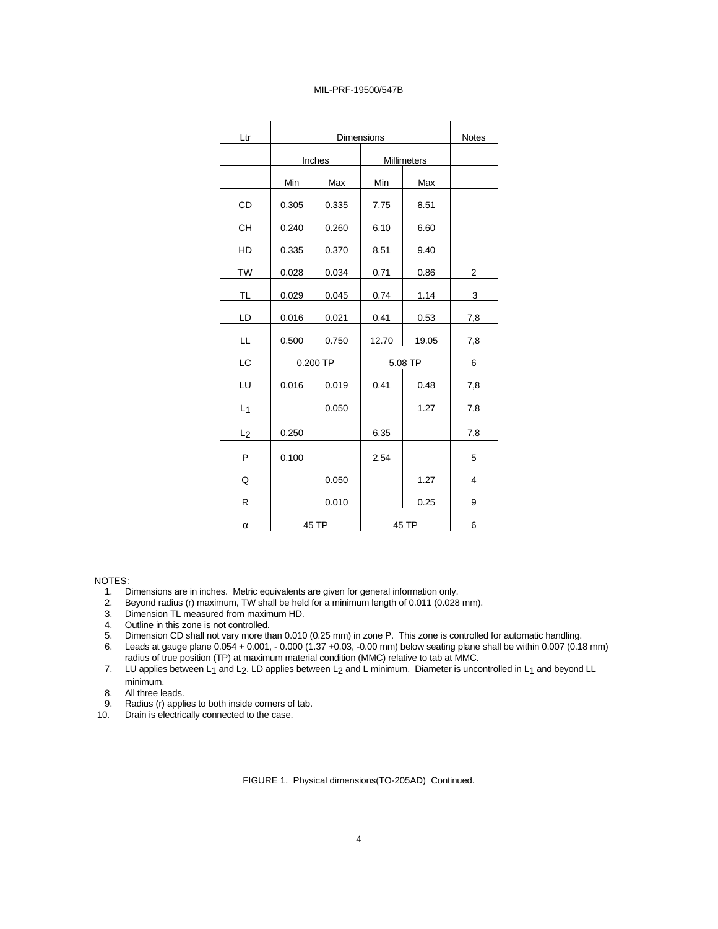| Ltr            |       | <b>Notes</b> |             |         |     |
|----------------|-------|--------------|-------------|---------|-----|
|                |       | Inches       | Millimeters |         |     |
|                | Min   | Max          | Min         | Max     |     |
| CD             | 0.305 | 0.335        | 7.75        | 8.51    |     |
| CН             | 0.240 | 0.260        | 6.10        | 6.60    |     |
| HD             | 0.335 | 0.370        | 8.51        | 9.40    |     |
| TW             | 0.028 | 0.034        | 0.71        | 0.86    | 2   |
| TL             | 0.029 | 0.045        | 0.74        | 1.14    | 3   |
| LD             | 0.016 | 0.021        | 0.41        | 0.53    | 7,8 |
| LL             | 0.500 | 0.750        | 12.70       | 19.05   | 7,8 |
| LC             |       | 0.200 TP     |             | 5.08 TP | 6   |
| LU             | 0.016 | 0.019        | 0.41        | 0.48    | 7,8 |
| $L_1$          |       | 0.050        |             | 1.27    | 7,8 |
| L <sub>2</sub> | 0.250 |              | 6.35        |         | 7,8 |
| P              | 0.100 |              | 2.54        |         | 5   |
| Q              |       | 0.050        |             | 1.27    | 4   |
| R              |       | 0.010        |             | 0.25    | 9   |
| α              |       | 45 TP        | 45 TP       | 6       |     |

NOTES:

- 1. Dimensions are in inches. Metric equivalents are given for general information only.
- 2. Beyond radius (r) maximum, TW shall be held for a minimum length of 0.011 (0.028 mm).<br>3. Dimension TL measured from maximum HD.
- Dimension TL measured from maximum HD.
- 4. Outline in this zone is not controlled.
- 5. Dimension CD shall not vary more than 0.010 (0.25 mm) in zone P. This zone is controlled for automatic handling.
- 6. Leads at gauge plane 0.054 + 0.001, 0.000 (1.37 +0.03, -0.00 mm) below seating plane shall be within 0.007 (0.18 mm) radius of true position (TP) at maximum material condition (MMC) relative to tab at MMC.
- 7. LU applies between  $L_1$  and  $L_2$ . LD applies between  $L_2$  and L minimum. Diameter is uncontrolled in  $L_1$  and beyond LL minimum.
- 8. All three leads.
- 9. Radius (r) applies to both inside corners of tab.
- 10. Drain is electrically connected to the case.

FIGURE 1. Physical dimensions(TO-205AD) Continued.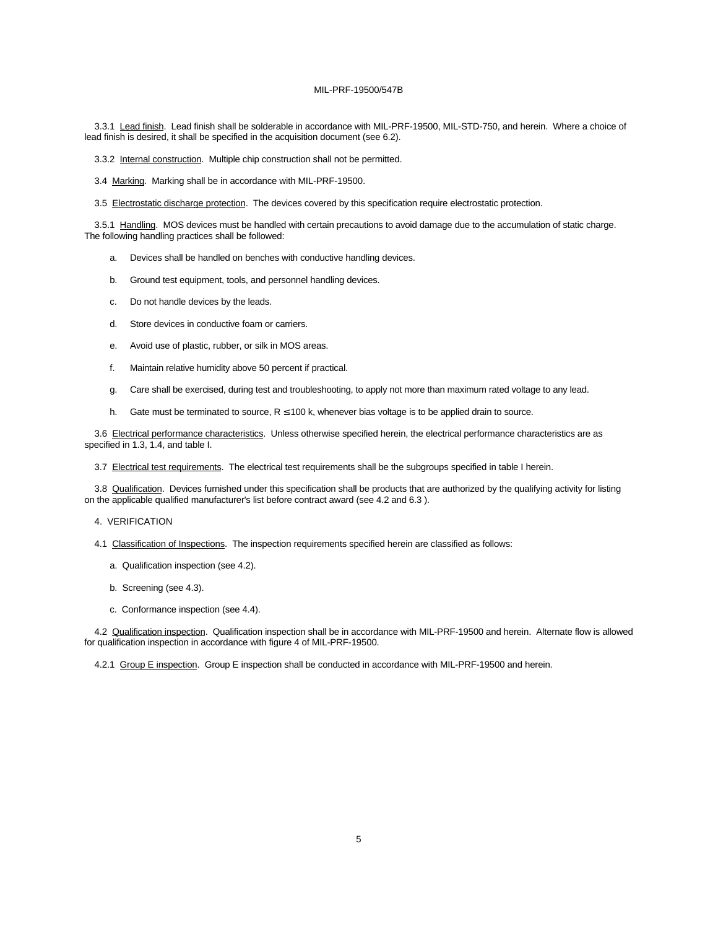3.3.1 Lead finish. Lead finish shall be solderable in accordance with MIL-PRF-19500, MIL-STD-750, and herein. Where a choice of lead finish is desired, it shall be specified in the acquisition document (see 6.2).

3.3.2 Internal construction. Multiple chip construction shall not be permitted.

3.4 Marking. Marking shall be in accordance with MIL-PRF-19500.

3.5 Electrostatic discharge protection. The devices covered by this specification require electrostatic protection.

3.5.1 Handling. MOS devices must be handled with certain precautions to avoid damage due to the accumulation of static charge. The following handling practices shall be followed:

- a. Devices shall be handled on benches with conductive handling devices.
- b. Ground test equipment, tools, and personnel handling devices.
- c. Do not handle devices by the leads.
- d. Store devices in conductive foam or carriers.
- e. Avoid use of plastic, rubber, or silk in MOS areas.
- f. Maintain relative humidity above 50 percent if practical.
- g. Care shall be exercised, during test and troubleshooting, to apply not more than maximum rated voltage to any lead.
- h. Gate must be terminated to source, R ≤ 100 k, whenever bias voltage is to be applied drain to source.

3.6 Electrical performance characteristics. Unless otherwise specified herein, the electrical performance characteristics are as specified in 1.3, 1.4, and table I.

3.7 Electrical test requirements. The electrical test requirements shall be the subgroups specified in table I herein.

3.8 Qualification. Devices furnished under this specification shall be products that are authorized by the qualifying activity for listing on the applicable qualified manufacturer's list before contract award (see 4.2 and 6.3 ).

4. VERIFICATION

- 4.1 Classification of Inspections. The inspection requirements specified herein are classified as follows:
	- a. Qualification inspection (see 4.2).
	- b. Screening (see 4.3).
	- c. Conformance inspection (see 4.4).

4.2 Qualification inspection. Qualification inspection shall be in accordance with MIL-PRF-19500 and herein. Alternate flow is allowed for qualification inspection in accordance with figure 4 of MIL-PRF-19500.

4.2.1 Group E inspection. Group E inspection shall be conducted in accordance with MIL-PRF-19500 and herein.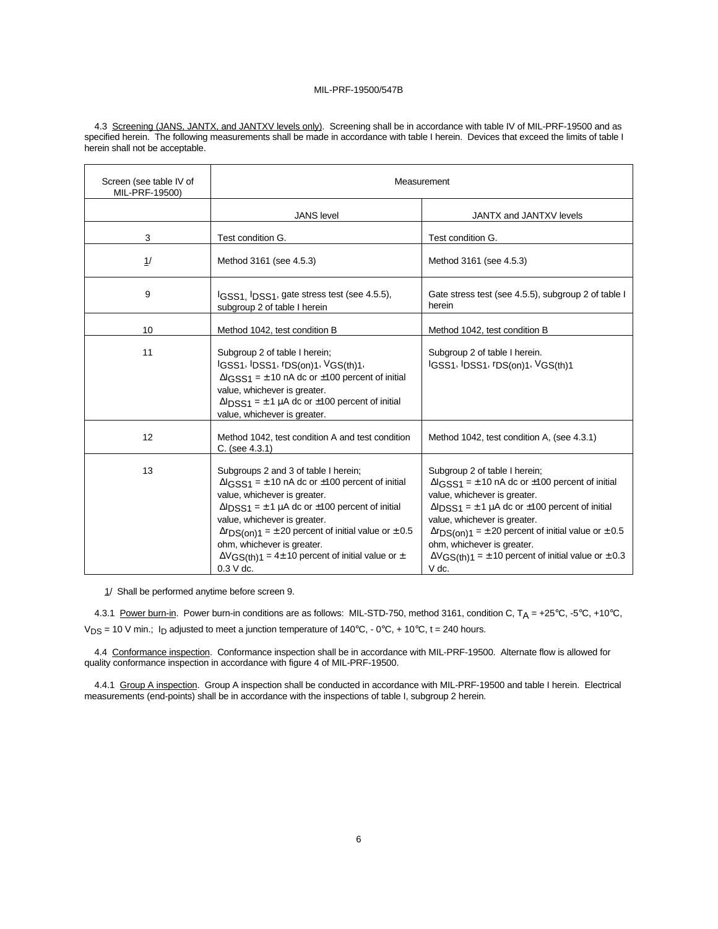4.3 Screening (JANS, JANTX, and JANTXV levels only). Screening shall be in accordance with table IV of MIL-PRF-19500 and as specified herein. The following measurements shall be made in accordance with table I herein. Devices that exceed the limits of table I herein shall not be acceptable.

| Screen (see table IV of<br>MIL-PRF-19500) | Measurement                                                                                                                                                                                                                                                                                                                                                                                              |                                                                                                                                                                                                                                                                                                                                                                                                                     |  |
|-------------------------------------------|----------------------------------------------------------------------------------------------------------------------------------------------------------------------------------------------------------------------------------------------------------------------------------------------------------------------------------------------------------------------------------------------------------|---------------------------------------------------------------------------------------------------------------------------------------------------------------------------------------------------------------------------------------------------------------------------------------------------------------------------------------------------------------------------------------------------------------------|--|
|                                           | <b>JANS</b> level                                                                                                                                                                                                                                                                                                                                                                                        | JANTX and JANTXV levels                                                                                                                                                                                                                                                                                                                                                                                             |  |
| 3                                         | Test condition G.                                                                                                                                                                                                                                                                                                                                                                                        | Test condition G.                                                                                                                                                                                                                                                                                                                                                                                                   |  |
| 1/                                        | Method 3161 (see 4.5.3)                                                                                                                                                                                                                                                                                                                                                                                  | Method 3161 (see 4.5.3)                                                                                                                                                                                                                                                                                                                                                                                             |  |
| 9                                         | IGSS1, IDSS1, gate stress test (see 4.5.5),<br>subgroup 2 of table I herein                                                                                                                                                                                                                                                                                                                              | Gate stress test (see 4.5.5), subgroup 2 of table I<br>herein                                                                                                                                                                                                                                                                                                                                                       |  |
| 10                                        | Method 1042, test condition B                                                                                                                                                                                                                                                                                                                                                                            | Method 1042, test condition B                                                                                                                                                                                                                                                                                                                                                                                       |  |
| 11                                        | Subgroup 2 of table I herein;<br>IGSS1, IDSS1, IDS(on)1, VGS(th)1,<br>$\Delta$ IGSS1 = ± 10 nA dc or ±100 percent of initial<br>value, whichever is greater.<br>$\Delta$ l <sub>DSS1</sub> = $\pm$ 1 µA dc or $\pm$ 100 percent of initial<br>value, whichever is greater.                                                                                                                               | Subgroup 2 of table I herein.<br>IGSS1, IDSS1, IDS(on)1, VGS(th)1                                                                                                                                                                                                                                                                                                                                                   |  |
| 12                                        | Method 1042, test condition A and test condition<br>$C.$ (see 4.3.1)                                                                                                                                                                                                                                                                                                                                     | Method 1042, test condition A, (see 4.3.1)                                                                                                                                                                                                                                                                                                                                                                          |  |
| 13                                        | Subgroups 2 and 3 of table I herein;<br>$\Delta$ IGSS1 = $\pm$ 10 nA dc or $\pm$ 100 percent of initial<br>value, whichever is greater.<br>$\Delta$ lDSS1 = ± 1 µA dc or ±100 percent of initial<br>value, whichever is greater.<br>$\Delta rDS($ on)1 = ± 20 percent of initial value or ± 0.5<br>ohm, whichever is greater.<br>$\Delta V$ GS(th)1 = 4± 10 percent of initial value or ±<br>$0.3 V$ dc. | Subgroup 2 of table I herein;<br>$\Delta$ IGSS1 = $\pm$ 10 nA dc or $\pm$ 100 percent of initial<br>value, whichever is greater.<br>$\Delta$ l <sub>DSS1</sub> = $\pm$ 1 µA dc or $\pm$ 100 percent of initial<br>value, whichever is greater.<br>$\Delta rDS($ on)1 = ± 20 percent of initial value or ± 0.5<br>ohm, whichever is greater.<br>$\Delta V$ GS(th)1 = ± 10 percent of initial value or ± 0.3<br>V dc. |  |

1/ Shall be performed anytime before screen 9.

4.3.1 Power burn-in. Power burn-in conditions are as follows: MIL-STD-750, method 3161, condition C, T<sub>A</sub> = +25°C, -5°C, +10°C,  $V_{DS}$  = 10 V min.; I<sub>D</sub> adjusted to meet a junction temperature of 140°C, - 0°C, + 10°C, t = 240 hours.

4.4 Conformance inspection. Conformance inspection shall be in accordance with MIL-PRF-19500. Alternate flow is allowed for quality conformance inspection in accordance with figure 4 of MIL-PRF-19500.

4.4.1 Group A inspection. Group A inspection shall be conducted in accordance with MIL-PRF-19500 and table I herein. Electrical measurements (end-points) shall be in accordance with the inspections of table I, subgroup 2 herein.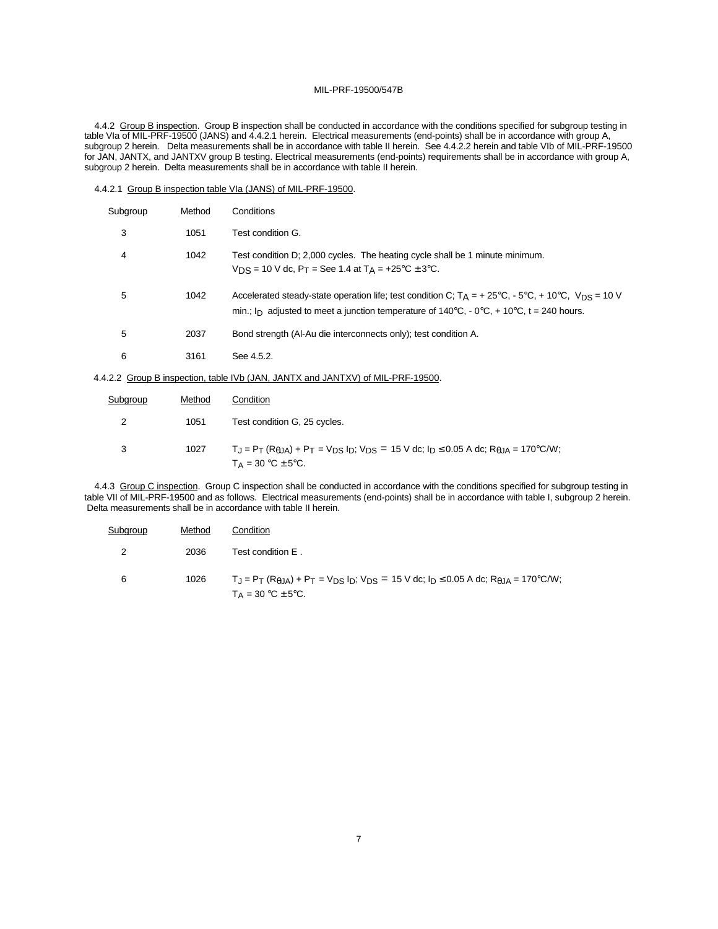4.4.2 Group B inspection. Group B inspection shall be conducted in accordance with the conditions specified for subgroup testing in table VIa of MIL-PRF-19500 (JANS) and 4.4.2.1 herein. Electrical measurements (end-points) shall be in accordance with group A, subgroup 2 herein. Delta measurements shall be in accordance with table II herein. See 4.4.2.2 herein and table VIb of MIL-PRF-19500 for JAN, JANTX, and JANTXV group B testing. Electrical measurements (end-points) requirements shall be in accordance with group A, subgroup 2 herein. Delta measurements shall be in accordance with table II herein.

|  |  |  |  | 4.4.2.1 Group B inspection table VIa (JANS) of MIL-PRF-19500. |  |
|--|--|--|--|---------------------------------------------------------------|--|
|  |  |  |  |                                                               |  |

| Subgroup | Method | Conditions                                                                                                                                                                                                                                 |
|----------|--------|--------------------------------------------------------------------------------------------------------------------------------------------------------------------------------------------------------------------------------------------|
| 3        | 1051   | Test condition G.                                                                                                                                                                                                                          |
| 4        | 1042   | Test condition D; 2,000 cycles. The heating cycle shall be 1 minute minimum.<br>$V_{DS}$ = 10 V dc, P <sub>T</sub> = See 1.4 at T <sub>A</sub> = +25°C ± 3°C.                                                                              |
| 5        | 1042   | Accelerated steady-state operation life; test condition C; $T_A = +25^{\circ}C_1 - 5^{\circ}C_1 + 10^{\circ}C_1$ , $V_{DS} = 10$ V<br>min.; I <sub>D</sub> adjusted to meet a junction temperature of 140°C, - 0°C, + 10°C, t = 240 hours. |
| 5        | 2037   | Bond strength (Al-Au die interconnects only); test condition A.                                                                                                                                                                            |
| 6        | 3161   | See 4.5.2.                                                                                                                                                                                                                                 |

4.4.2.2 Group B inspection, table IVb (JAN, JANTX and JANTXV) of MIL-PRF-19500.

| Subgroup | Method | Condition                                                                                                                                                              |
|----------|--------|------------------------------------------------------------------------------------------------------------------------------------------------------------------------|
| 2        | 1051   | Test condition G, 25 cycles.                                                                                                                                           |
|          | 1027   | $T_J = P_T (R_{\theta JA}) + P_T = V_{DS} I_D$ ; $V_{DS} = 15$ V dc; $I_D \le 0.05$ A dc; $R_{\theta JA} = 170^{\circ}$ C/W;<br>$T_A = 30 \degree C \pm 5 \degree C$ . |

4.4.3 Group C inspection. Group C inspection shall be conducted in accordance with the conditions specified for subgroup testing in table VII of MIL-PRF-19500 and as follows. Electrical measurements (end-points) shall be in accordance with table I, subgroup 2 herein. Delta measurements shall be in accordance with table II herein.

| Subgroup | Method | Condition                                                                                                                                             |
|----------|--------|-------------------------------------------------------------------------------------------------------------------------------------------------------|
|          | 2036   | Test condition E.                                                                                                                                     |
| 6        | 1026   | $T_J = P_T (R_{0,1A}) + P_T = V_{DS} I_D$ ; $V_{DS} = 15$ V dc; $I_D \le 0.05$ A dc; $R_{0,JA} = 170$ °C/W;<br>$T_A = 30 \degree C \pm 5 \degree C$ . |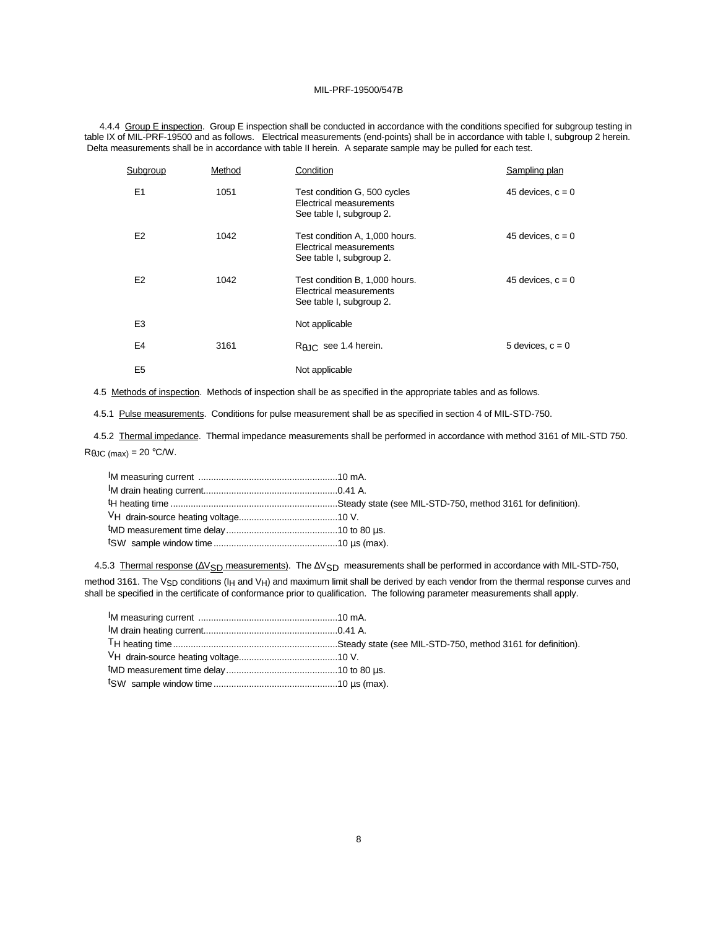4.4.4 Group E inspection. Group E inspection shall be conducted in accordance with the conditions specified for subgroup testing in table IX of MIL-PRF-19500 and as follows. Electrical measurements (end-points) shall be in accordance with table I, subgroup 2 herein. Delta measurements shall be in accordance with table II herein. A separate sample may be pulled for each test.

| Subgroup       | Method | Condition                                                                             | Sampling plan       |
|----------------|--------|---------------------------------------------------------------------------------------|---------------------|
| E <sub>1</sub> | 1051   | Test condition G, 500 cycles<br>Electrical measurements<br>See table I, subgroup 2.   | 45 devices, $c = 0$ |
| E <sub>2</sub> | 1042   | Test condition A, 1,000 hours.<br>Electrical measurements<br>See table I, subgroup 2. | 45 devices, $c = 0$ |
| E <sub>2</sub> | 1042   | Test condition B, 1,000 hours.<br>Electrical measurements<br>See table I, subgroup 2. | 45 devices, $c = 0$ |
| E <sub>3</sub> |        | Not applicable                                                                        |                     |
| E <sub>4</sub> | 3161   | $R_{\theta$ JC see 1.4 herein.                                                        | 5 devices, $c = 0$  |
| E <sub>5</sub> |        | Not applicable                                                                        |                     |

4.5 Methods of inspection. Methods of inspection shall be as specified in the appropriate tables and as follows.

4.5.1 Pulse measurements. Conditions for pulse measurement shall be as specified in section 4 of MIL-STD-750.

4.5.2 Thermal impedance. Thermal impedance measurements shall be performed in accordance with method 3161 of MIL-STD 750.  $R_{\theta JC \, (max)} = 20 \, ^\circ \text{C/W}.$ 

4.5.3 Thermal response (ΔV<sub>SD</sub> measurements). The ΔV<sub>SD</sub> measurements shall be performed in accordance with MIL-STD-750, method 3161. The V<sub>SD</sub> conditions (I<sub>H</sub> and V<sub>H</sub>) and maximum limit shall be derived by each vendor from the thermal response curves and

| shall be specified in the certificate of conformance prior to qualification. The following parameter measurements shall apply. |
|--------------------------------------------------------------------------------------------------------------------------------|
|                                                                                                                                |
|                                                                                                                                |
|                                                                                                                                |
|                                                                                                                                |
|                                                                                                                                |
|                                                                                                                                |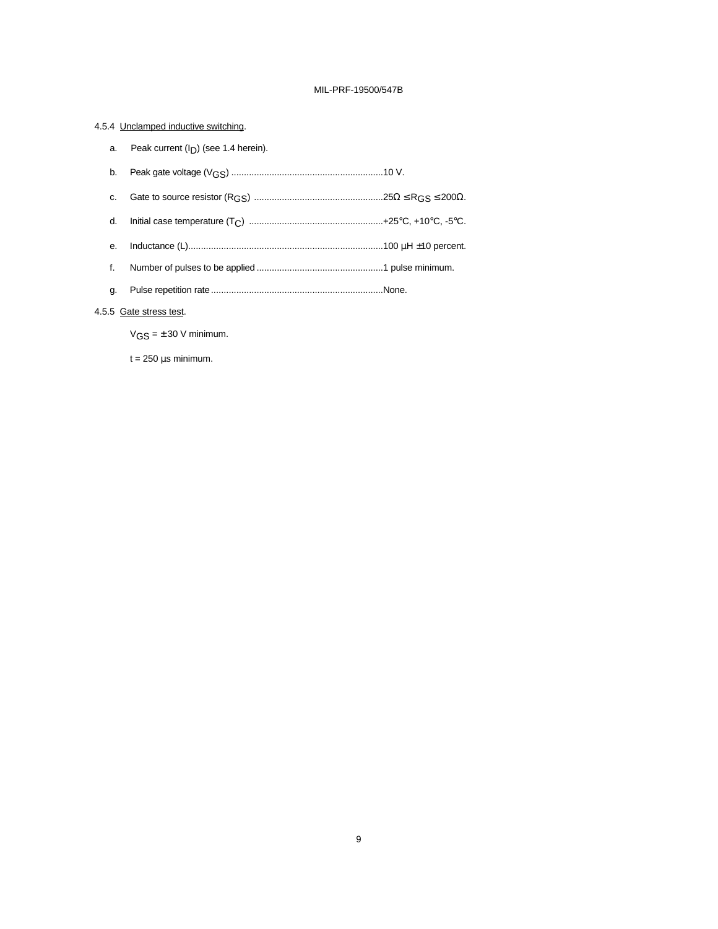# 4.5.4 Unclamped inductive switching.

| a. | Peak current $(ID)$ (see 1.4 herein).                                                                                                                                                                                                                                                                                              |  |
|----|------------------------------------------------------------------------------------------------------------------------------------------------------------------------------------------------------------------------------------------------------------------------------------------------------------------------------------|--|
| b. |                                                                                                                                                                                                                                                                                                                                    |  |
| C. |                                                                                                                                                                                                                                                                                                                                    |  |
| d. |                                                                                                                                                                                                                                                                                                                                    |  |
| е. |                                                                                                                                                                                                                                                                                                                                    |  |
| f. |                                                                                                                                                                                                                                                                                                                                    |  |
| g. |                                                                                                                                                                                                                                                                                                                                    |  |
|    | $\mathbf{r}$ $\mathbf{r}$ $\mathbf{r}$ $\mathbf{r}$ $\mathbf{r}$ $\mathbf{r}$ $\mathbf{r}$ $\mathbf{r}$ $\mathbf{r}$ $\mathbf{r}$ $\mathbf{r}$ $\mathbf{r}$ $\mathbf{r}$ $\mathbf{r}$ $\mathbf{r}$ $\mathbf{r}$ $\mathbf{r}$ $\mathbf{r}$ $\mathbf{r}$ $\mathbf{r}$ $\mathbf{r}$ $\mathbf{r}$ $\mathbf{r}$ $\mathbf{r}$ $\mathbf{$ |  |

# 4.5.5 Gate stress test.

 $VGS = \pm 30$  V minimum.

t = 250 μs minimum.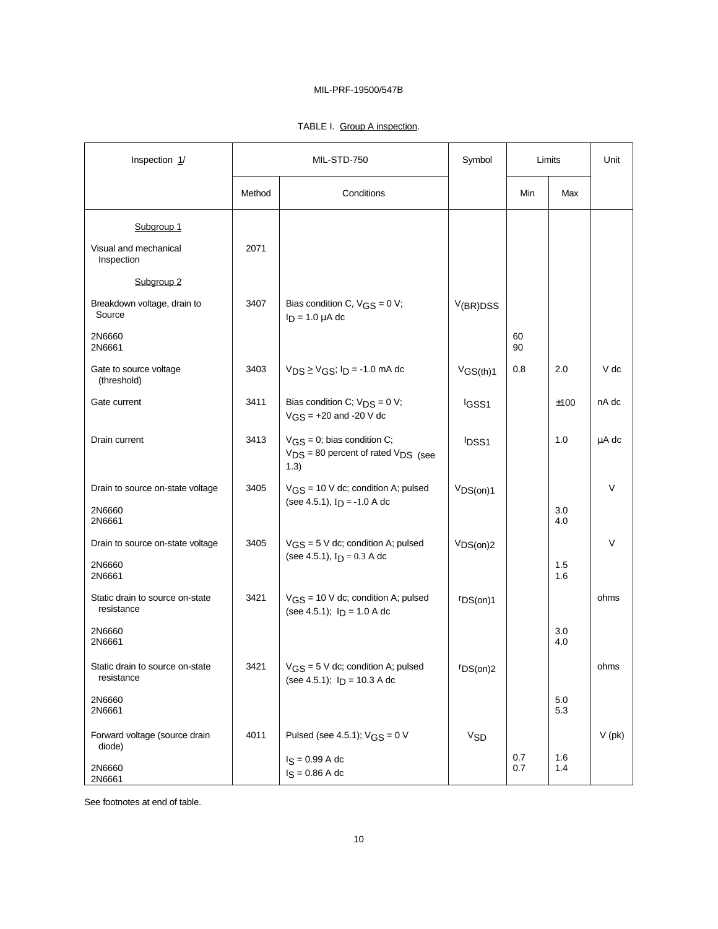# TABLE I. Group A inspection.

| Inspection 1/                                        | MIL-STD-750 |                                                                                               | Symbol                | Limits     |            | Unit     |
|------------------------------------------------------|-------------|-----------------------------------------------------------------------------------------------|-----------------------|------------|------------|----------|
|                                                      | Method      | Conditions                                                                                    |                       | Min        | Max        |          |
| Subgroup 1<br>Visual and mechanical<br>Inspection    | 2071        |                                                                                               |                       |            |            |          |
| Subgroup <sub>2</sub>                                |             |                                                                                               |                       |            |            |          |
| Breakdown voltage, drain to<br>Source                | 3407        | Bias condition C, $VGS = 0 V$ ;<br>$I_D = 1.0 \mu A$ dc                                       | V(BR)DSS              |            |            |          |
| 2N6660<br>2N6661                                     |             |                                                                                               |                       | 60<br>90   |            |          |
| Gate to source voltage<br>(threshold)                | 3403        | $V_{DS} \geq V_{GS}$ ; $I_D$ = -1.0 mA dc                                                     | VGS(th)1              | 0.8        | 2.0        | V dc     |
| Gate current                                         | 3411        | Bias condition C; $V_{DS} = 0 V$ ;<br>$VGS = +20$ and -20 V dc                                | IGSS <sub>1</sub>     |            | ±100       | nA dc    |
| Drain current                                        | 3413        | $VGS = 0$ ; bias condition C;<br>$V_{DS}$ = 80 percent of rated $V_{DS}$ (see<br>1.3)         | <b>IDSS1</b>          |            | 1.0        | μA dc    |
| Drain to source on-state voltage<br>2N6660<br>2N6661 | 3405        | $V_{GS}$ = 10 V dc; condition A; pulsed<br>(see 4.5.1), $I_D = -1.0 A dc$                     | VDS(on)1              |            | 3.0<br>4.0 | V        |
| Drain to source on-state voltage<br>2N6660<br>2N6661 | 3405        | $VGS = 5$ V dc; condition A; pulsed<br>(see 4.5.1), $I_D = 0.3$ A dc                          | VDS(on)2              |            | 1.5<br>1.6 | V        |
| Static drain to source on-state<br>resistance        | 3421        | $VGS = 10$ V dc; condition A; pulsed<br>(see 4.5.1); $I_D = 1.0 A dc$                         | r <sub>DS(on)1</sub>  |            |            | ohms     |
| 2N6660<br>2N6661                                     |             |                                                                                               |                       |            | 3.0<br>4.0 |          |
| Static drain to source on-state<br>resistance        | 3421        | $V$ <sub>G</sub> <sub>S</sub> = 5 V dc; condition A; pulsed<br>(see 4.5.1); $I_D = 10.3$ A dc | r <sub>DS(on)2</sub>  |            |            | ohms     |
| 2N6660<br>2N6661                                     |             |                                                                                               |                       |            | 5.0<br>5.3 |          |
| Forward voltage (source drain<br>diode)              | 4011        | Pulsed (see 4.5.1); $VGS = 0 V$                                                               | <b>V<sub>SD</sub></b> |            |            | $V$ (pk) |
| 2N6660<br>2N6661                                     |             | $I_S = 0.99 A dc$<br>$I_S = 0.86$ A dc                                                        |                       | 0.7<br>0.7 | 1.6<br>1.4 |          |

See footnotes at end of table.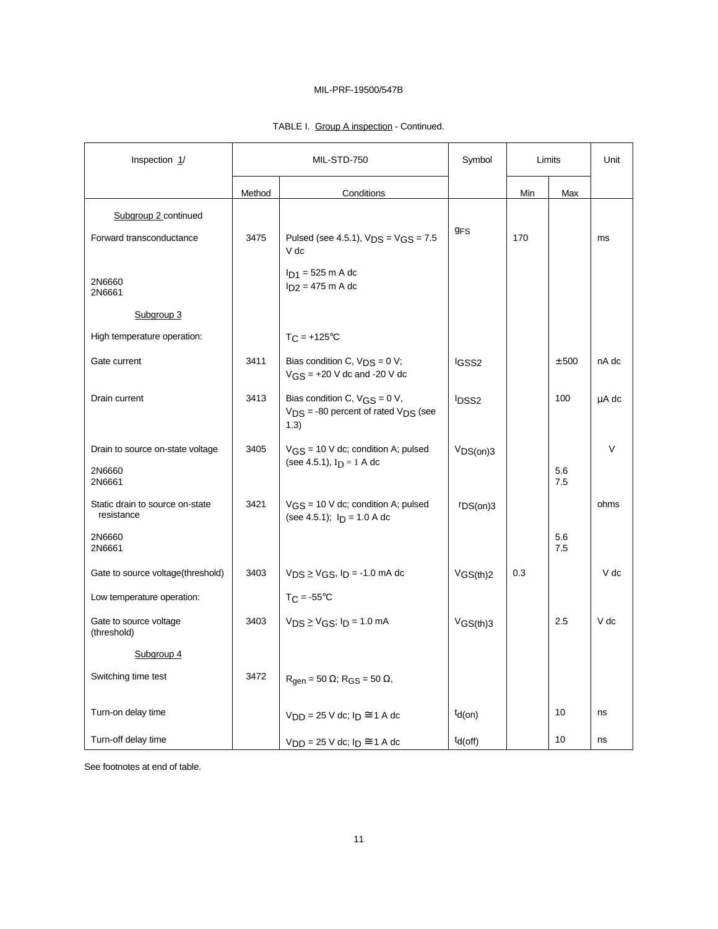| TABLE I. Group A inspection - Continued. |
|------------------------------------------|
|------------------------------------------|

| Inspection 1/                                        | MIL-STD-750 |                                                                                          | Symbol                        | Limits |            | Unit   |
|------------------------------------------------------|-------------|------------------------------------------------------------------------------------------|-------------------------------|--------|------------|--------|
|                                                      | Method      | Conditions                                                                               |                               | Min    | Max        |        |
| Subgroup 2 continued                                 |             |                                                                                          |                               |        |            |        |
| Forward transconductance                             | 3475        | Pulsed (see 4.5.1), $V_{DS} = V_{GS} = 7.5$<br>V dc                                      | <b>GFS</b>                    | 170    |            | ms     |
| 2N6660<br>2N6661                                     |             | $I_{D1}$ = 525 m A dc<br>$I_{D2} = 475$ m A dc                                           |                               |        |            |        |
| Subgroup 3                                           |             |                                                                                          |                               |        |            |        |
| High temperature operation:                          |             | $TC = +125°C$                                                                            |                               |        |            |        |
| Gate current                                         | 3411        | Bias condition C, $V_{DS} = 0 V$ ;<br>$VGS = +20$ V dc and -20 V dc                      | <sup>I</sup> GSS <sub>2</sub> |        | ± 500      | nA dc  |
| Drain current                                        | 3413        | Bias condition C, $VGS = 0 V$ ,<br>$V_{DS}$ = -80 percent of rated $V_{DS}$ (see<br>1.3) | <sup>I</sup> DSS <sub>2</sub> |        | 100        | μA dc  |
| Drain to source on-state voltage<br>2N6660<br>2N6661 | 3405        | $V_{GS}$ = 10 V dc; condition A; pulsed<br>(see 4.5.1), $I_D = 1$ A dc                   | VDS(0n)3                      |        | 5.6<br>7.5 | $\vee$ |
| Static drain to source on-state<br>resistance        | 3421        | $VGS = 10$ V dc; condition A; pulsed<br>(see 4.5.1); $I_D = 1.0 A dc$                    | rDS(on)3                      |        |            | ohms   |
| 2N6660<br>2N6661                                     |             |                                                                                          |                               |        | 5.6<br>7.5 |        |
| Gate to source voltage(threshold)                    | 3403        | $V_{DS} \geq V_{GS}$ , $I_D$ = -1.0 mA dc                                                | $V$ GS(th)2                   | 0.3    |            | V dc   |
| Low temperature operation:                           |             | $TC = -55^{\circ}C$                                                                      |                               |        |            |        |
| Gate to source voltage<br>(threshold)                | 3403        | $V_{DS} \geq V_{GS}$ ; $I_D = 1.0$ mA                                                    | VGS(th)3                      |        | 2.5        | V dc   |
| Subgroup 4                                           |             |                                                                                          |                               |        |            |        |
| Switching time test                                  | 3472        | $R_{\text{qen}} = 50 \Omega$ ; $R_{\text{GS}} = 50 \Omega$ ,                             |                               |        |            |        |
| Turn-on delay time                                   |             | $V_{DD} = 25$ V dc; $I_D \cong 1$ A dc                                                   | $td($ on $)$                  |        | 10         | ns     |
| Turn-off delay time                                  |             | $V_{\text{DD}} = 25$ V dc; $I_{\text{D}} \cong 1$ A dc                                   | $td($ off)                    |        | 10         | ns     |

See footnotes at end of table.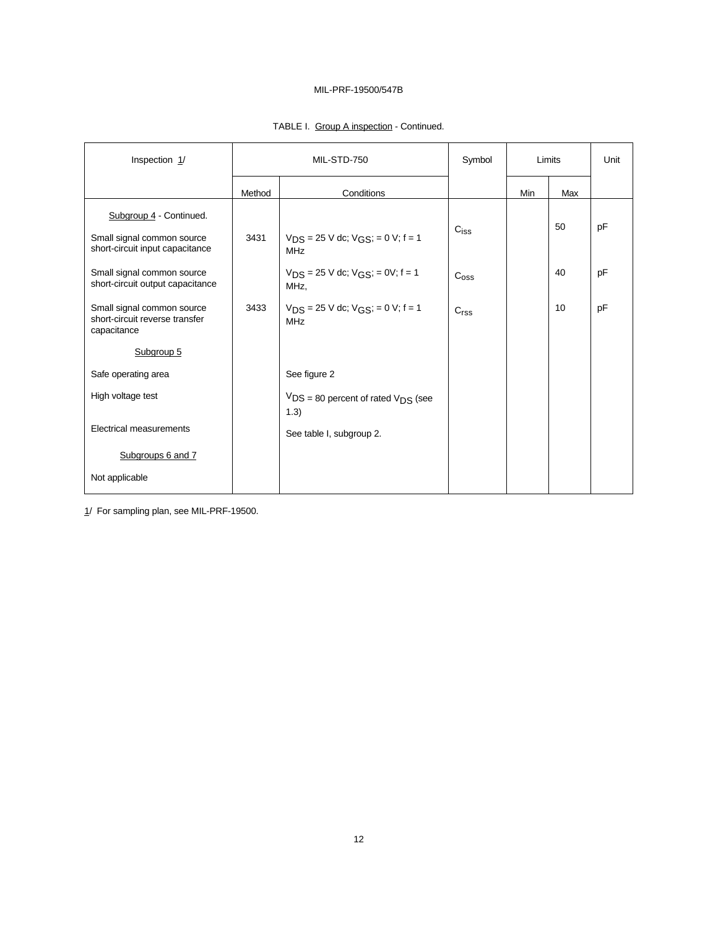| Inspection 1/                                                                            | MIL-STD-750 |                                                           | Symbol           | Limits |     | Unit |
|------------------------------------------------------------------------------------------|-------------|-----------------------------------------------------------|------------------|--------|-----|------|
|                                                                                          | Method      | Conditions                                                |                  | Min    | Max |      |
| Subgroup 4 - Continued.<br>Small signal common source<br>short-circuit input capacitance | 3431        | $V_{DS}$ = 25 V dc; $V_{GS}$ ; = 0 V; f = 1<br><b>MHz</b> | C <sub>iss</sub> |        | 50  | pF   |
| Small signal common source<br>short-circuit output capacitance                           |             | $V_{DS} = 25$ V dc; $V_{GS}$ ; = 0V; f = 1<br>MHz.        | C <sub>oss</sub> |        | 40  | pF   |
| Small signal common source<br>short-circuit reverse transfer<br>capacitance              | 3433        | $V_{DS}$ = 25 V dc; $V_{GS}$ ; = 0 V; f = 1<br><b>MHz</b> | C <sub>rss</sub> |        | 10  | pF   |
| Subgroup 5                                                                               |             |                                                           |                  |        |     |      |
| Safe operating area                                                                      |             | See figure 2                                              |                  |        |     |      |
| High voltage test                                                                        |             | $VDS = 80$ percent of rated $VDS$ (see<br>1.3)            |                  |        |     |      |
| <b>Electrical measurements</b>                                                           |             | See table I, subgroup 2.                                  |                  |        |     |      |
| Subgroups 6 and 7                                                                        |             |                                                           |                  |        |     |      |
| Not applicable                                                                           |             |                                                           |                  |        |     |      |

# TABLE I. Group A inspection - Continued.

1/ For sampling plan, see MIL-PRF-19500.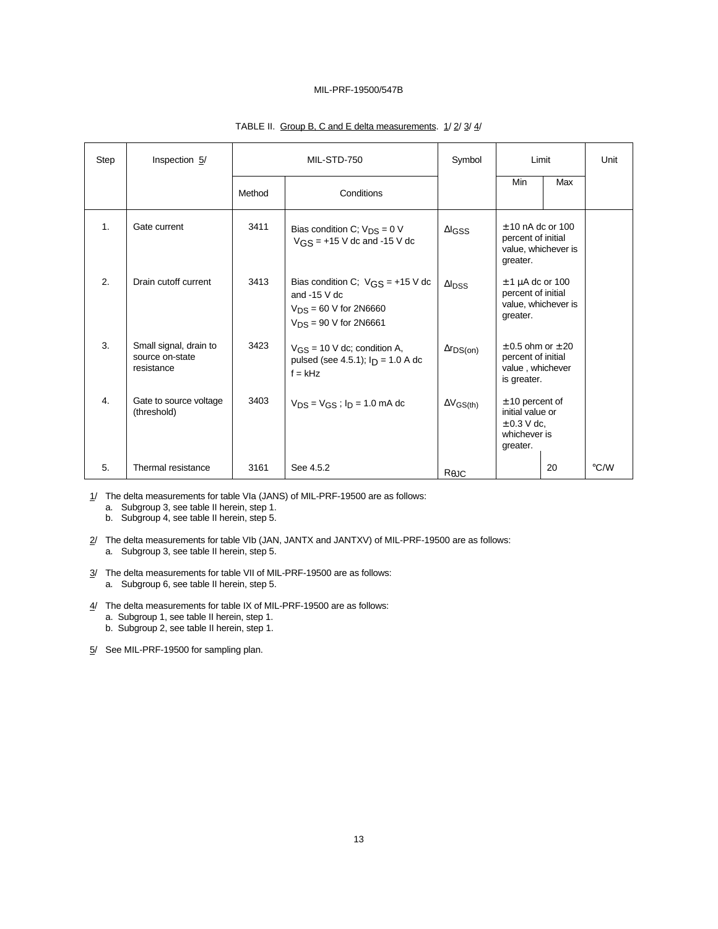| Step | Inspection 5/                                           | MIL-STD-750 |                                                                                                                  | Symbol                    | Limit                                                                                |     | Unit |
|------|---------------------------------------------------------|-------------|------------------------------------------------------------------------------------------------------------------|---------------------------|--------------------------------------------------------------------------------------|-----|------|
|      |                                                         | Method      | Conditions                                                                                                       |                           | Min                                                                                  | Max |      |
| 1.   | Gate current                                            | 3411        | Bias condition C; $V_{DS} = 0 V$<br>$V$ <sub>GS</sub> = +15 V dc and -15 V dc                                    | $\Delta$ <sub>IGSS</sub>  | $± 10$ nA dc or 100<br>percent of initial<br>value, whichever is<br>greater.         |     |      |
| 2.   | Drain cutoff current                                    | 3413        | Bias condition C; $VGS = +15 V dc$<br>and $-15$ V dc<br>$V_{DS} = 60$ V for 2N6660<br>$V_{DS}$ = 90 V for 2N6661 | $\Delta I$ <sub>DSS</sub> | $\pm$ 1 µA dc or 100<br>percent of initial<br>value, whichever is<br>greater.        |     |      |
| 3.   | Small signal, drain to<br>source on-state<br>resistance | 3423        | $V_{GS}$ = 10 V dc; condition A,<br>pulsed (see 4.5.1); $I_D = 1.0 A dc$<br>$f = kHz$                            | $\Delta r_{DS(on)}$       | $\pm$ 0.5 ohm or $\pm$ 20<br>percent of initial<br>value, whichever<br>is greater.   |     |      |
| 4.   | Gate to source voltage<br>(threshold)                   | 3403        | $V_{DS} = V_{GS}$ ; $I_D = 1.0$ mA dc                                                                            | $\Delta V$ GS(th)         | $± 10$ percent of<br>initial value or<br>$\pm$ 0.3 V dc,<br>whichever is<br>greater. |     |      |
| 5.   | Thermal resistance                                      | 3161        | See 4.5.2                                                                                                        | $R_{\theta$ JC            |                                                                                      | 20  | °C/W |

# TABLE II. Group B, C and E delta measurements. 1/ 2/ 3/ 4/

1/ The delta measurements for table VIa (JANS) of MIL-PRF-19500 are as follows:

a. Subgroup 3, see table II herein, step 1.

b. Subgroup 4, see table II herein, step 5.

- 2/ The delta measurements for table VIb (JAN, JANTX and JANTXV) of MIL-PRF-19500 are as follows: a. Subgroup 3, see table II herein, step 5.
- 3/ The delta measurements for table VII of MIL-PRF-19500 are as follows: a. Subgroup 6, see table II herein, step 5.
- 4/ The delta measurements for table IX of MIL-PRF-19500 are as follows:
	- a. Subgroup 1, see table II herein, step 1.
	- b. Subgroup 2, see table II herein, step 1.

5/ See MIL-PRF-19500 for sampling plan.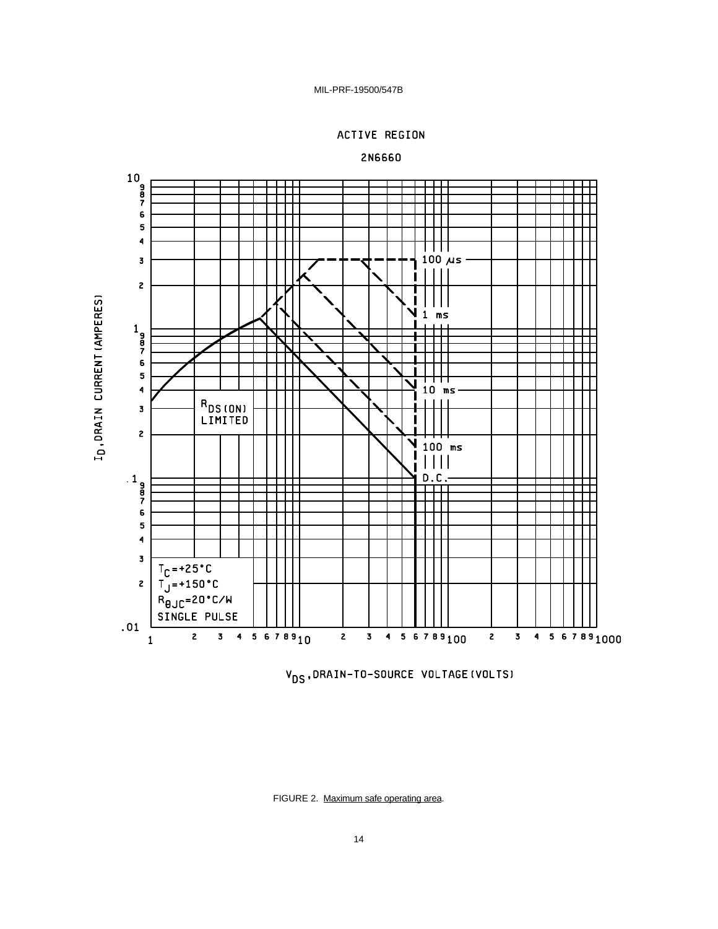



2N6660

V<sub>DS</sub>, DRAIN-TO-SOURCE VOLTAGE (VOLTS)

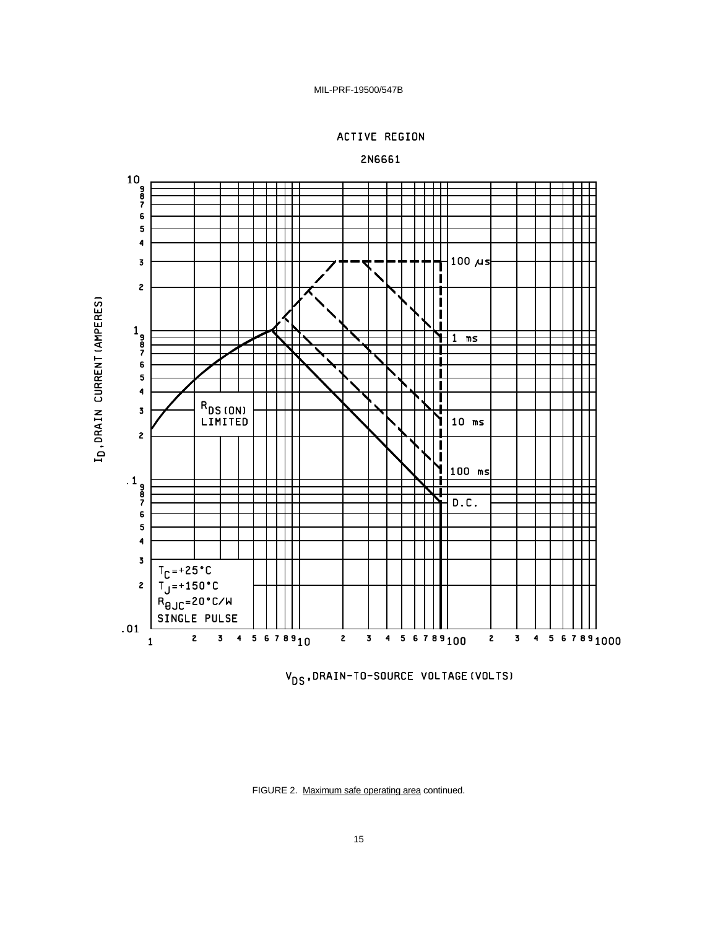





V<sub>DS</sub>, DRAIN-TO-SOURCE VOLTAGE (VOLTS)

FIGURE 2. Maximum safe operating area continued.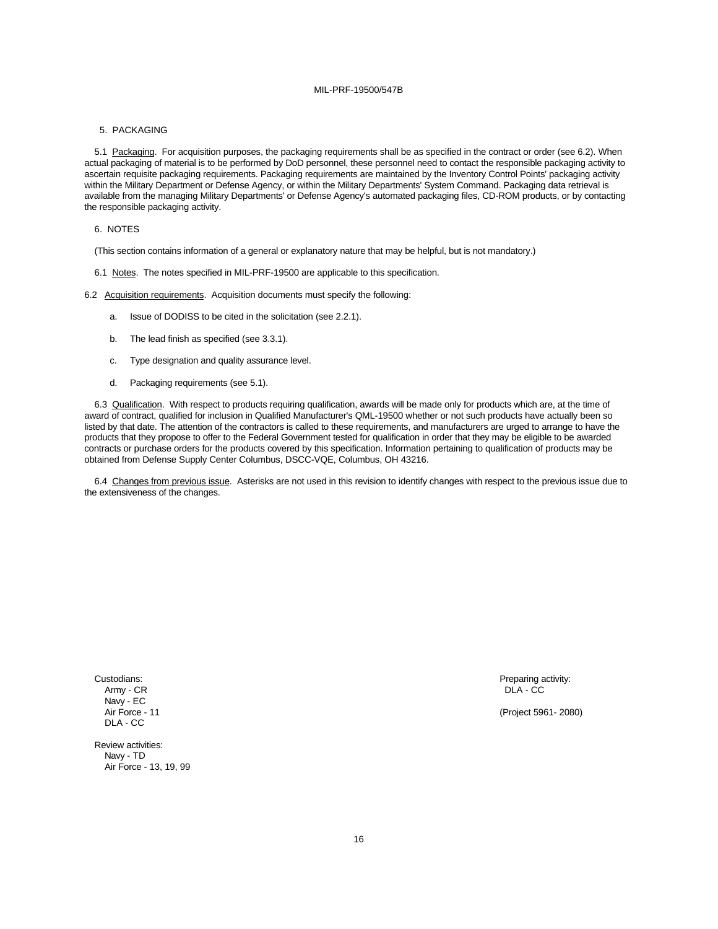#### 5. PACKAGING

5.1 Packaging. For acquisition purposes, the packaging requirements shall be as specified in the contract or order (see 6.2). When actual packaging of material is to be performed by DoD personnel, these personnel need to contact the responsible packaging activity to ascertain requisite packaging requirements. Packaging requirements are maintained by the Inventory Control Points' packaging activity within the Military Department or Defense Agency, or within the Military Departments' System Command. Packaging data retrieval is available from the managing Military Departments' or Defense Agency's automated packaging files, CD-ROM products, or by contacting the responsible packaging activity.

#### 6. NOTES

(This section contains information of a general or explanatory nature that may be helpful, but is not mandatory.)

6.1 Notes. The notes specified in MIL-PRF-19500 are applicable to this specification.

6.2 Acquisition requirements. Acquisition documents must specify the following:

- a. Issue of DODISS to be cited in the solicitation (see 2.2.1).
- b. The lead finish as specified (see 3.3.1).
- c. Type designation and quality assurance level.
- d. Packaging requirements (see 5.1).

6.3 Qualification. With respect to products requiring qualification, awards will be made only for products which are, at the time of award of contract, qualified for inclusion in Qualified Manufacturer's QML-19500 whether or not such products have actually been so listed by that date. The attention of the contractors is called to these requirements, and manufacturers are urged to arrange to have the products that they propose to offer to the Federal Government tested for qualification in order that they may be eligible to be awarded contracts or purchase orders for the products covered by this specification. Information pertaining to qualification of products may be obtained from Defense Supply Center Columbus, DSCC-VQE, Columbus, OH 43216.

6.4 Changes from previous issue. Asterisks are not used in this revision to identify changes with respect to the previous issue due to the extensiveness of the changes.

Army - CR DLA - CC Navy - EC DLA - CC

Custodians: Preparing activity: Preparing activity: Preparing activity: Preparing activity:

Air Force - 11 (Project 5961- 2080)

Review activities: Navy - TD Air Force - 13, 19, 99